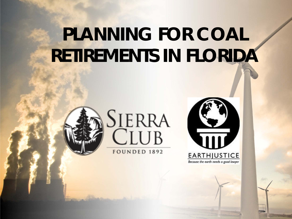# **PLANNING FOR COAL RETIREMENTS IN FLORIDA**





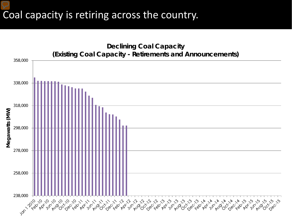#### Coal capacity is retiring across the country.

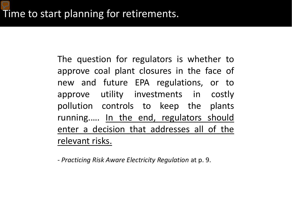The question for regulators is whether to approve coal plant closures in the face of new and future EPA regulations, or to approve utility investments in costly pollution controls to keep the plants running..... In the end, regulators should enter a decision that addresses all of the relevant risks.

- *Practicing Risk Aware Electricity Regulation* at p. 9.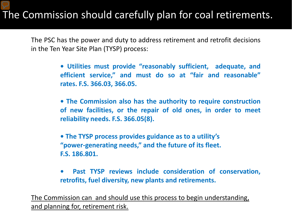#### The Commission should carefully plan for coal retirements.

The PSC has the power and duty to address retirement and retrofit decisions in the Ten Year Site Plan (TYSP) process:

> **• Utilities must provide "reasonably sufficient, adequate, and efficient service," and must do so at "fair and reasonable" rates. F.S. 366.03, 366.05.**

> **• The Commission also has the authority to require construction of new facilities, or the repair of old ones, in order to meet reliability needs. F.S. 366.05(8).**

**• The TYSP process provides guidance as to a utility's "power-generating needs," and the future of its fleet. F.S. 186.801.**

**• Past TYSP reviews include consideration of conservation, retrofits, fuel diversity, new plants and retirements.** 

The Commission can and should use this process to begin understanding, and planning for, retirement risk.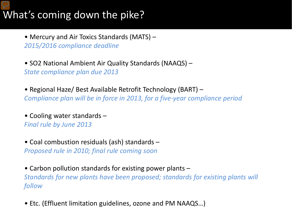### What's coming down the pike?

• Mercury and Air Toxics Standards (MATS) – *2015/2016 compliance deadline*

• SO2 National Ambient Air Quality Standards (NAAQS) – *State compliance plan due 2013*

• Regional Haze/ Best Available Retrofit Technology (BART) – *Compliance plan will be in force in 2013, for a five-year compliance period*

• Cooling water standards – *Final rule by June 2013*

• Coal combustion residuals (ash) standards – *Proposed rule in 2010; final rule coming soon*

• Carbon pollution standards for existing power plants – *Standards for new plants have been proposed; standards for existing plants will follow*

• Etc. (Effluent limitation guidelines, ozone and PM NAAQS…)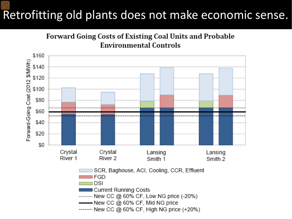## Retrofitting old plants does not make economic sense.



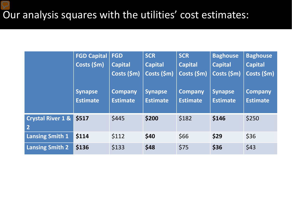|                                                | <b>FGD Capital</b><br>Costs (\$m)<br><b>Synapse</b><br><b>Estimate</b> | <b>FGD</b><br><b>Capital</b><br>Costs (\$m)<br><b>Company</b><br><b>Estimate</b> | <b>SCR</b><br><b>Capital</b><br>Costs (\$m)<br><b>Synapse</b><br><b>Estimate</b> | <b>SCR</b><br><b>Capital</b><br>Costs (\$m)<br><b>Company</b><br><b>Estimate</b> | <b>Baghouse</b><br><b>Capital</b><br>Costs (\$m)<br><b>Synapse</b><br><b>Estimate</b> | <b>Baghouse</b><br><b>Capital</b><br>Costs (\$m)<br><b>Company</b><br><b>Estimate</b> |
|------------------------------------------------|------------------------------------------------------------------------|----------------------------------------------------------------------------------|----------------------------------------------------------------------------------|----------------------------------------------------------------------------------|---------------------------------------------------------------------------------------|---------------------------------------------------------------------------------------|
| <b>Crystal River 1 &amp;</b><br>$\overline{2}$ | \$517                                                                  | \$445                                                                            | \$200                                                                            | \$182                                                                            | \$146                                                                                 | \$250                                                                                 |
| <b>Lansing Smith 1</b>                         | \$114                                                                  | \$112                                                                            | \$40                                                                             | \$66                                                                             | \$29                                                                                  | \$36                                                                                  |
| <b>Lansing Smith 2</b>                         | \$136                                                                  | \$133                                                                            | \$48                                                                             | \$75                                                                             | \$36                                                                                  | \$43                                                                                  |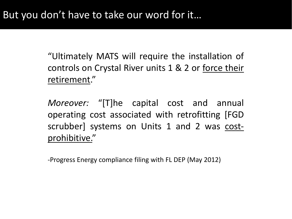"Ultimately MATS will require the installation of controls on Crystal River units 1 & 2 or force their retirement."

*Moreover:* "[T]he capital cost and annual operating cost associated with retrofitting [FGD scrubber] systems on Units 1 and 2 was costprohibitive."

-Progress Energy compliance filing with FL DEP (May 2012)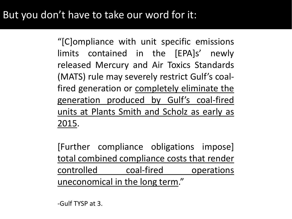#### But you don't have to take our word for it:

"[C]ompliance with unit specific emissions limits contained in the [EPA]s' newly released Mercury and Air Toxics Standards (MATS) rule may severely restrict Gulf's coalfired generation or completely eliminate the generation produced by Gulf's coal-fired units at Plants Smith and Scholz as early as 2015.

[Further compliance obligations impose] total combined compliance costs that render controlled coal-fired operations uneconomical in the long term."

-Gulf TYSP at 3.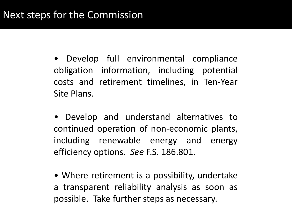• Develop full environmental compliance obligation information, including potential costs and retirement timelines, in Ten-Year Site Plans.

• Develop and understand alternatives to continued operation of non-economic plants, including renewable energy and energy efficiency options. *See* F.S. 186.801.

• Where retirement is a possibility, undertake a transparent reliability analysis as soon as possible. Take further steps as necessary.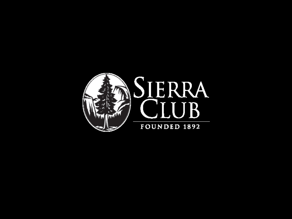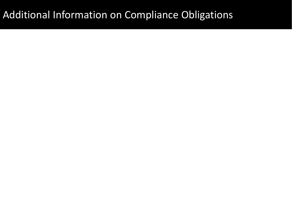#### Additional Information on Compliance Obligations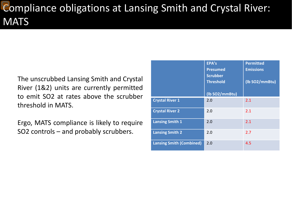## Compliance obligations at Lansing Smith and Crystal River: **MATS**

The unscrubbed Lansing Smith and Crystal River (1&2) units are currently permitted to emit SO2 at rates above the scrubber threshold in MATS.

Ergo, MATS compliance is likely to require SO2 controls – and probably scrubbers.

|                                 | EPA's<br><b>Presumed</b><br><b>Scrubber</b><br><b>Threshold</b> | <b>Permitted</b><br><b>Emissions</b><br>(Ib SO2/mmBtu) |
|---------------------------------|-----------------------------------------------------------------|--------------------------------------------------------|
|                                 | (Ib SO2/mmBtu)                                                  |                                                        |
| <b>Crystal River 1</b>          | 2.0                                                             | 2.1                                                    |
| <b>Crystal River 2</b>          | 2.0                                                             | 2.1                                                    |
| <b>Lansing Smith 1</b>          | 2.0                                                             | 2.1                                                    |
| <b>Lansing Smith 2</b>          | 2.0                                                             | 2.7                                                    |
| <b>Lansing Smith (Combined)</b> | 2.0                                                             | 4.5                                                    |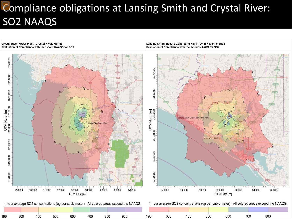## Compliance obligations at Lansing Smith and Crystal River: SO2 NAAQS